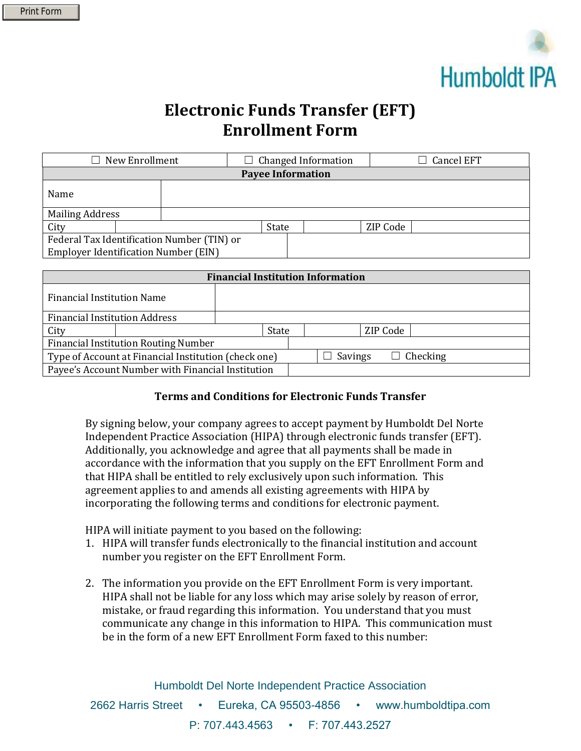

## **Electronic Funds Transfer (EFT) Enrollment Form**

| New Enrollment<br>$\Box$                    |  |  | $\Box$ Changed Information |  |          | <b>Cancel EFT</b> |  |
|---------------------------------------------|--|--|----------------------------|--|----------|-------------------|--|
| <b>Payee Information</b>                    |  |  |                            |  |          |                   |  |
| Name                                        |  |  |                            |  |          |                   |  |
| <b>Mailing Address</b>                      |  |  |                            |  |          |                   |  |
| City                                        |  |  | State                      |  | ZIP Code |                   |  |
| Federal Tax Identification Number (TIN) or  |  |  |                            |  |          |                   |  |
| <b>Employer Identification Number (EIN)</b> |  |  |                            |  |          |                   |  |

| <b>Financial Institution Information</b>             |  |  |       |  |                            |  |  |
|------------------------------------------------------|--|--|-------|--|----------------------------|--|--|
| <b>Financial Institution Name</b>                    |  |  |       |  |                            |  |  |
| <b>Financial Institution Address</b>                 |  |  |       |  |                            |  |  |
| City                                                 |  |  | State |  | ZIP Code                   |  |  |
| <b>Financial Institution Routing Number</b>          |  |  |       |  |                            |  |  |
| Type of Account at Financial Institution (check one) |  |  |       |  | $\Box$ Checking<br>Savings |  |  |
| Payee's Account Number with Financial Institution    |  |  |       |  |                            |  |  |

## **Terms and Conditions for Electronic Funds Transfer**

By signing below, your company agrees to accept payment by Humboldt Del Norte Independent Practice Association (HIPA) through electronic funds transfer (EFT). Additionally, you acknowledge and agree that all payments shall be made in accordance with the information that you supply on the EFT Enrollment Form and that HIPA shall be entitled to rely exclusively upon such information. This agreement applies to and amends all existing agreements with HIPA by incorporating the following terms and conditions for electronic payment.

HIPA will initiate payment to you based on the following:

- 1. HIPA will transfer funds electronically to the financial institution and account number you register on the EFT Enrollment Form.
- 2. The information you provide on the EFT Enrollment Form is very important. HIPA shall not be liable for any loss which may arise solely by reason of error, mistake, or fraud regarding this information. You understand that you must communicate any change in this information to HIPA. This communication must be in the form of a new EFT Enrollment Form faxed to this number: